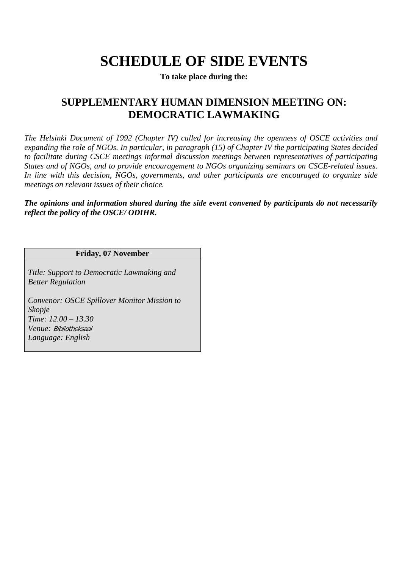# **SCHEDULE OF SIDE EVENTS**

**To take place during the:** 

# **SUPPLEMENTARY HUMAN DIMENSION MEETING ON: DEMOCRATIC LAWMAKING**

*The Helsinki Document of 1992 (Chapter IV) called for increasing the openness of OSCE activities and expanding the role of NGOs. In particular, in paragraph (15) of Chapter IV the participating States decided to facilitate during CSCE meetings informal discussion meetings between representatives of participating States and of NGOs, and to provide encouragement to NGOs organizing seminars on CSCE-related issues. In line with this decision, NGOs, governments, and other participants are encouraged to organize side meetings on relevant issues of their choice.* 

*The opinions and information shared during the side event convened by participants do not necessarily reflect the policy of the OSCE/ ODIHR.* 

## **Friday, 07 November**

*Title: Support to Democratic Lawmaking and Better Regulation* 

*Convenor: OSCE Spillover Monitor Mission to Skopje Time: 12.00 – 13.30 Venue:* Bibliotheksaal *Language: English*